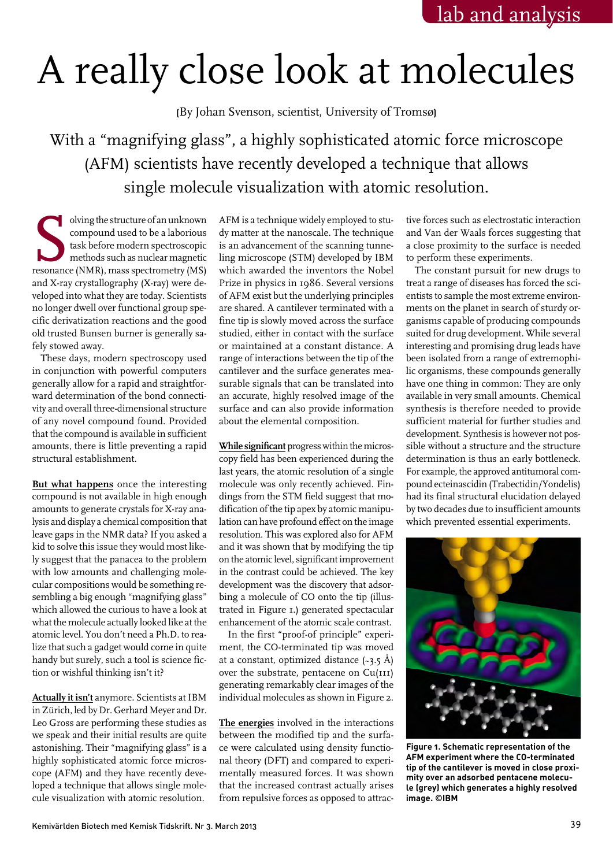## A really close look at molecules

(By Johan Svenson, scientist, University of Tromsø)

With a "magnifying glass", a highly sophisticated atomic force microscope (AFM) scientists have recently developed a technique that allows single molecule visualization with atomic resolution.

olving the structure of an unknown<br>
compound used to be a laborious<br>
task before modern spectroscopic<br>
methods such as nuclear magnetic<br>
resonance (NMR), mass spectrometry (MS) compound used to be a laborious task before modern spectroscopic methods such as nuclear magnetic and X-ray crystallography (X-ray) were developed into what they are today. Scientists no longer dwell over functional group specific derivatization reactions and the good old trusted Bunsen burner is generally safely stowed away.

These days, modern spectroscopy used in conjunction with powerful computers generally allow for a rapid and straightforward determination of the bond connectivity and overall three-dimensional structure of any novel compound found. Provided that the compound is available in sufficient amounts, there is little preventing a rapid structural establishment.

**But what happens** once the interesting compound is not available in high enough amounts to generate crystals for X-ray analysis and display a chemical composition that leave gaps in the NMR data? If you asked a kid to solve this issue they would most likely suggest that the panacea to the problem with low amounts and challenging molecular compositions would be something resembling a big enough "magnifying glass" which allowed the curious to have a look at what the molecule actually looked like at the atomic level. You don't need a Ph.D. to realize that such a gadget would come in quite handy but surely, such a tool is science fiction or wishful thinking isn't it?

**Actually it isn't** anymore. Scientists at IBM in Zürich, led by Dr. Gerhard Meyer and Dr. Leo Gross are performing these studies as we speak and their initial results are quite astonishing. Their "magnifying glass" is a highly sophisticated atomic force microscope (AFM) and they have recently developed a technique that allows single molecule visualization with atomic resolution.

AFM is a technique widely employed to study matter at the nanoscale. The technique is an advancement of the scanning tunneling microscope (STM) developed by IBM which awarded the inventors the Nobel Prize in physics in 1986. Several versions of AFM exist but the underlying principles are shared. A cantilever terminated with a fine tip is slowly moved across the surface studied, either in contact with the surface or maintained at a constant distance. A range of interactions between the tip of the cantilever and the surface generates measurable signals that can be translated into an accurate, highly resolved image of the surface and can also provide information about the elemental composition.

**While significant** progress within the microscopy field has been experienced during the last years, the atomic resolution of a single molecule was only recently achieved. Findings from the STM field suggest that modification of the tip apex by atomic manipulation can have profound effect on the image resolution. This was explored also for AFM and it was shown that by modifying the tip on the atomic level, significant improvement in the contrast could be achieved. The key development was the discovery that adsorbing a molecule of CO onto the tip (illustrated in Figure 1.) generated spectacular enhancement of the atomic scale contrast.

In the first "proof-of principle" experiment, the CO-terminated tip was moved at a constant, optimized distance  $(-3.5 \text{ Å})$ over the substrate, pentacene on Cu(111) generating remarkably clear images of the individual molecules as shown in Figure 2.

**The energies** involved in the interactions between the modified tip and the surface were calculated using density functional theory (DFT) and compared to experimentally measured forces. It was shown that the increased contrast actually arises from repulsive forces as opposed to attrac-

tive forces such as electrostatic interaction and Van der Waals forces suggesting that a close proximity to the surface is needed to perform these experiments.

The constant pursuit for new drugs to treat a range of diseases has forced the scientists to sample the most extreme environments on the planet in search of sturdy organisms capable of producing compounds suited for drug development. While several interesting and promising drug leads have been isolated from a range of extremophilic organisms, these compounds generally have one thing in common: They are only available in very small amounts. Chemical synthesis is therefore needed to provide sufficient material for further studies and development. Synthesis is however not possible without a structure and the structure determination is thus an early bottleneck. For example, the approved antitumoral compound ecteinascidin (Trabectidin/Yondelis) had its final structural elucidation delayed by two decades due to insufficient amounts which prevented essential experiments.



**Figure 1. Schematic representation of the AFM experiment where the CO-terminated tip of the cantilever is moved in close proximity over an adsorbed pentacene molecule (grey) which generates a highly resolved image. ©IBM**